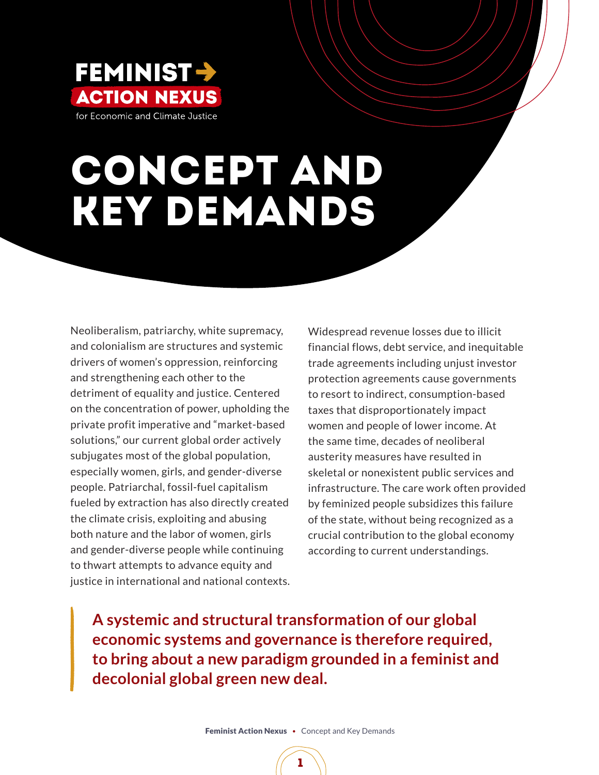

# Concept and Key Demands

Neoliberalism, patriarchy, white supremacy, and colonialism are structures and systemic drivers of women's oppression, reinforcing and strengthening each other to the detriment of equality and justice. Centered on the concentration of power, upholding the private profit imperative and "market-based solutions," our current global order actively subjugates most of the global population, especially women, girls, and gender-diverse people. Patriarchal, fossil-fuel capitalism fueled by extraction has also directly created the climate crisis, exploiting and abusing both nature and the labor of women, girls and gender-diverse people while continuing to thwart attempts to advance equity and justice in international and national contexts.

Widespread revenue losses due to illicit financial flows, debt service, and inequitable trade agreements including unjust investor protection agreements cause governments to resort to indirect, consumption-based taxes that disproportionately impact women and people of lower income. At the same time, decades of neoliberal austerity measures have resulted in skeletal or nonexistent public services and infrastructure. The care work often provided by feminized people subsidizes this failure of the state, without being recognized as a crucial contribution to the global economy according to current understandings.

**A systemic and structural transformation of our global economic systems and governance is therefore required, to bring about a new paradigm grounded in a feminist and decolonial global green new deal.**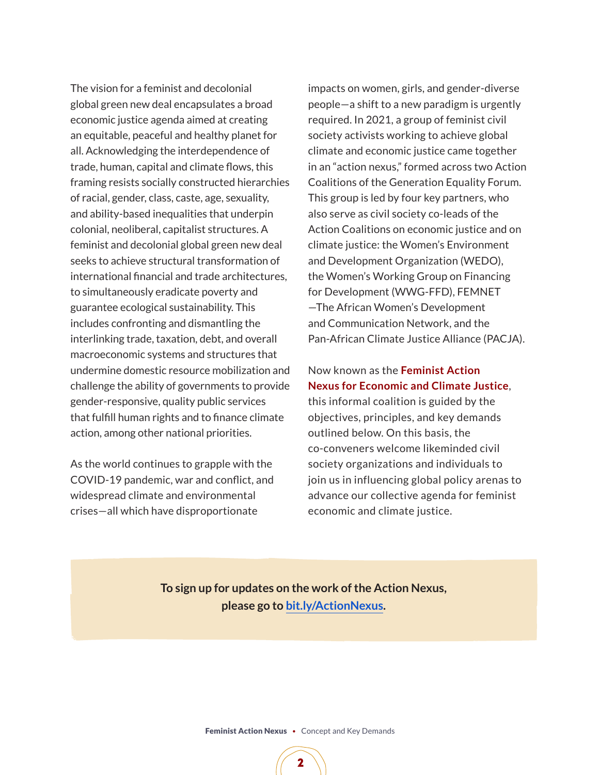The vision for a feminist and decolonial global green new deal encapsulates a broad economic justice agenda aimed at creating an equitable, peaceful and healthy planet for all. Acknowledging the interdependence of trade, human, capital and climate flows, this framing resists socially constructed hierarchies of racial, gender, class, caste, age, sexuality, and ability-based inequalities that underpin colonial, neoliberal, capitalist structures. A feminist and decolonial global green new deal seeks to achieve structural transformation of international financial and trade architectures, to simultaneously eradicate poverty and guarantee ecological sustainability. This includes confronting and dismantling the interlinking trade, taxation, debt, and overall macroeconomic systems and structures that undermine domestic resource mobilization and challenge the ability of governments to provide gender-responsive, quality public services that fulfill human rights and to finance climate action, among other national priorities.

As the world continues to grapple with the COVID-19 pandemic, war and conflict, and widespread climate and environmental crises—all which have disproportionate

impacts on women, girls, and gender-diverse people—a shift to a new paradigm is urgently required. In 2021, a group of feminist civil society activists working to achieve global climate and economic justice came together in an "action nexus," formed across two Action Coalitions of the Generation Equality Forum. This group is led by four key partners, who also serve as civil society co-leads of the Action Coalitions on economic justice and on climate justice: the Women's Environment and Development Organization (WEDO), the Women's Working Group on Financing for Development (WWG-FFD), FEMNET —The African Women's Development and Communication Network, and the Pan-African Climate Justice Alliance (PACJA).

### Now known as the **Feminist Action Nexus for Economic and Climate Justice**,

this informal coalition is guided by the objectives, principles, and key demands outlined below. On this basis, the co-conveners welcome likeminded civil society organizations and individuals to join us in influencing global policy arenas to advance our collective agenda for feminist economic and climate justice.

**To sign up for updates on the work of the Action Nexus, please go to [bit.ly/ActionNexus.](https://bit.ly/ActionNexus)**

Feminist Action Nexus•Concept and Key Demands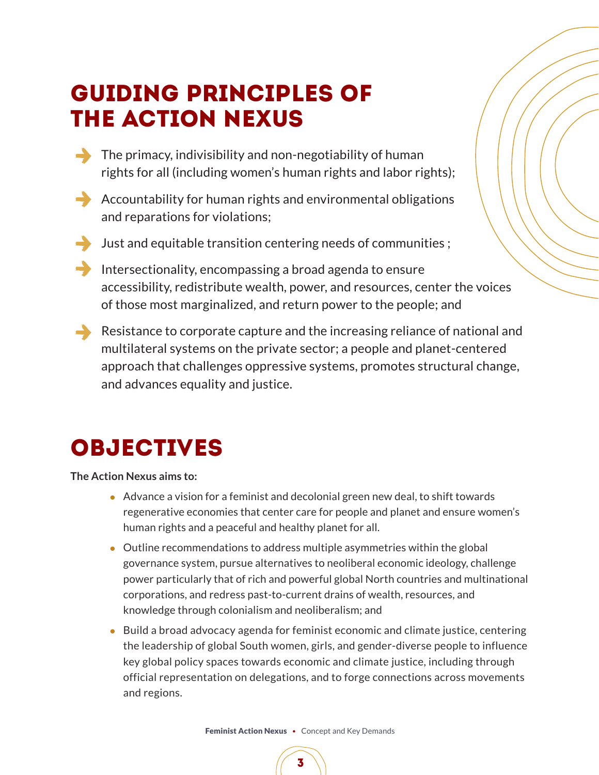# GUIDING PRINCIPLES of the ACTION NEXUS

- $\rightarrow$  The primacy, indivisibility and non-negotiability of human rights for all (including women's human rights and labor rights);
- $\rightarrow$  Accountability for human rights and environmental obligations and reparations for violations;
- Just and equitable transition centering needs of communities ;
- Intersectionality, encompassing a broad agenda to ensure accessibility, redistribute wealth, power, and resources, center the voices of those most marginalized, and return power to the people; and
- Resistance to corporate capture and the increasing reliance of national and multilateral systems on the private sector; a people and planet-centered approach that challenges oppressive systems, promotes structural change, and advances equality and justice.

# OBJECTIVES

**The Action Nexus aims to:**

- Advance a vision for a feminist and decolonial green new deal, to shift towards regenerative economies that center care for people and planet and ensure women's human rights and a peaceful and healthy planet for all.
- Outline recommendations to address multiple asymmetries within the global governance system, pursue alternatives to neoliberal economic ideology, challenge power particularly that of rich and powerful global North countries and multinational corporations, and redress past-to-current drains of wealth, resources, and knowledge through colonialism and neoliberalism; and
- Build a broad advocacy agenda for feminist economic and climate justice, centering the leadership of global South women, girls, and gender-diverse people to influence key global policy spaces towards economic and climate justice, including through official representation on delegations, and to forge connections across movements and regions.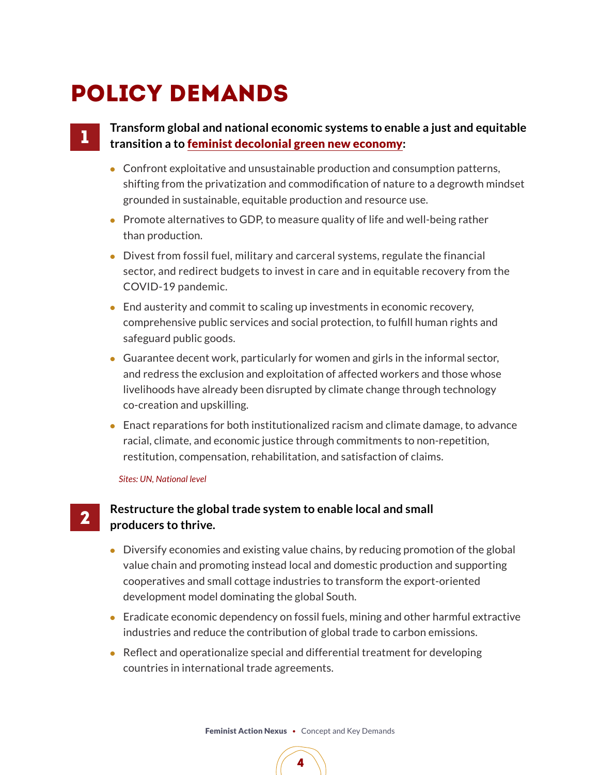# POLICY DEMANDS

# 1

2

### **Transform global and national economic systems to enable a just and equitable transition a to** feminist decolonial green new economy**:**

- Confront exploitative and unsustainable production and consumption patterns, shifting from the privatization and commodification of nature to a degrowth mindset grounded in sustainable, equitable production and resource use.
- Promote alternatives to GDP, to measure quality of life and well-being rather than production.
- Divest from fossil fuel, military and carceral systems, regulate the financial sector, and redirect budgets to invest in care and in equitable recovery from the COVID-19 pandemic.
- End austerity and commit to scaling up investments in economic recovery, comprehensive public services and social protection, to fulfill human rights and safeguard public goods.
- Guarantee decent work, particularly for women and girls in the informal sector, and redress the exclusion and exploitation of affected workers and those whose livelihoods have already been disrupted by climate change through technology co-creation and upskilling.
- Enact reparations for both institutionalized racism and climate damage, to advance racial, climate, and economic justice through commitments to non-repetition, restitution, compensation, rehabilitation, and satisfaction of claims.

#### *Sites: UN, National level*

## **Restructure the global trade system to enable local and small producers to thrive.**

- Diversify economies and existing value chains, by reducing promotion of the global value chain and promoting instead local and domestic production and supporting cooperatives and small cottage industries to transform the export-oriented development model dominating the global South.
- Eradicate economic dependency on fossil fuels, mining and other harmful extractive industries and reduce the contribution of global trade to carbon emissions.
- Reflect and operationalize special and differential treatment for developing countries in international trade agreements.

Feminist Action Nexus•Concept and Key Demands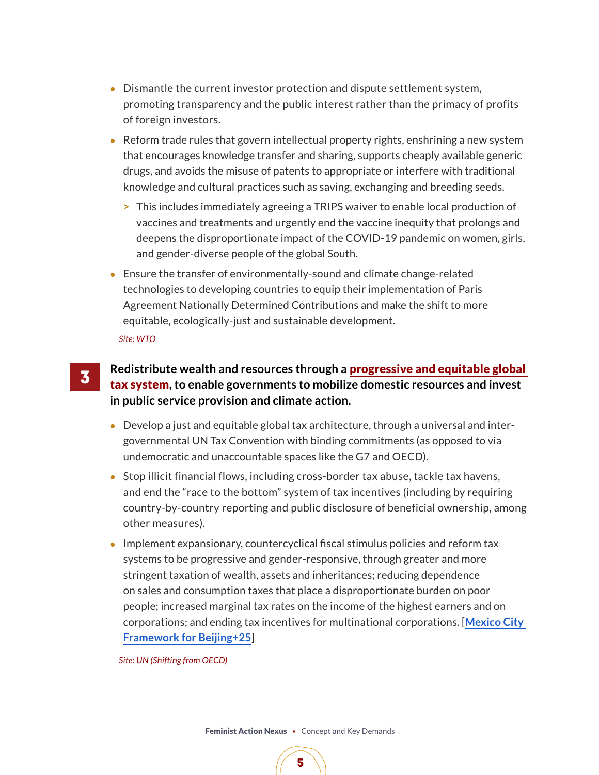- Dismantle the current investor protection and dispute settlement system, promoting transparency and the public interest rather than the primacy of profits of foreign investors.
- Reform trade rules that govern intellectual property rights, enshrining a new system that encourages knowledge transfer and sharing, supports cheaply available generic drugs, and avoids the misuse of patents to appropriate or interfere with traditional knowledge and cultural practices such as saving, exchanging and breeding seeds.
	- **>** This includes immediately agreeing a TRIPS waiver to enable local production of vaccines and treatments and urgently end the vaccine inequity that prolongs and deepens the disproportionate impact of the COVID-19 pandemic on women, girls, and gender-diverse people of the global South.
- Ensure the transfer of environmentally-sound and climate change-related technologies to developing countries to equip their implementation of Paris Agreement Nationally Determined Contributions and make the shift to more equitable, ecologically-just and sustainable development.

*Site: WTO* 

3

# **Redistribute wealth and resources through a** progressive and equitable global tax system**, to enable governments to mobilize domestic resources and invest in public service provision and climate action.**

- Develop a just and equitable global tax architecture, through a universal and intergovernmental UN Tax Convention with binding commitments (as opposed to via undemocratic and unaccountable spaces like the G7 and OECD).
- Stop illicit financial flows, including cross-border tax abuse, tackle tax havens, and end the "race to the bottom" system of tax incentives (including by requiring country-by-country reporting and public disclosure of beneficial ownership, among other measures).
- Implement expansionary, countercyclical fiscal stimulus policies and reform tax systems to be progressive and gender-responsive, through greater and more stringent taxation of wealth, assets and inheritances; reducing dependence on sales and consumption taxes that place a disproportionate burden on poor people; increased marginal tax rates on the income of the highest earners and on corporations; and ending tax incentives for multinational corporations. [**[Mexico City](https://docs.google.com/document/d/1-7B04-Licx9KHKklI-HzthJOORLqTIq5pNL90eDzgVE/edit)  [Framework for Beijing+25](https://docs.google.com/document/d/1-7B04-Licx9KHKklI-HzthJOORLqTIq5pNL90eDzgVE/edit)**]

*Site: UN (Shifting from OECD)* 

Feminist Action Nexus•Concept and Key Demands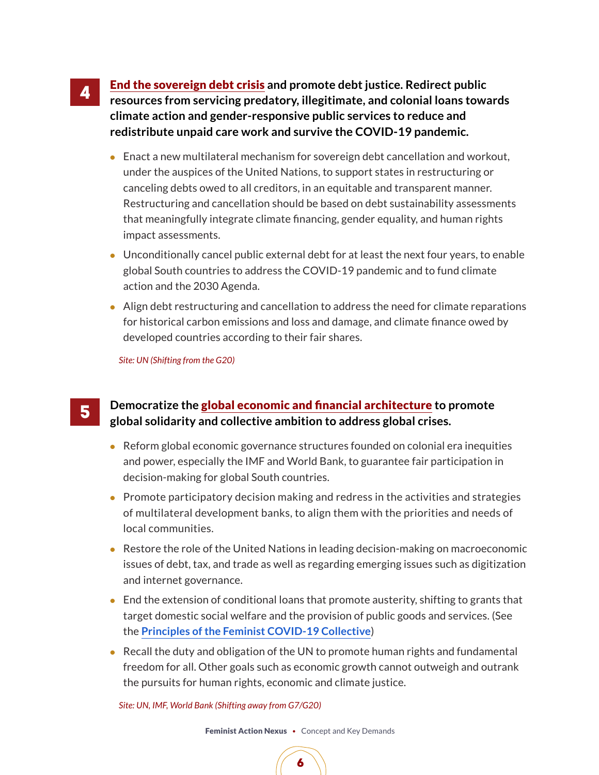End the sovereign debt crisis **and promote debt justice. Redirect public resources from servicing predatory, illegitimate, and colonial loans towards climate action and gender-responsive public services to reduce and redistribute unpaid care work and survive the COVID-19 pandemic.** 

- Enact a new multilateral mechanism for sovereign debt cancellation and workout, under the auspices of the United Nations, to support states in restructuring or canceling debts owed to all creditors, in an equitable and transparent manner. Restructuring and cancellation should be based on debt sustainability assessments that meaningfully integrate climate financing, gender equality, and human rights impact assessments.
- Unconditionally cancel public external debt for at least the next four years, to enable global South countries to address the COVID-19 pandemic and to fund climate action and the 2030 Agenda.
- Align debt restructuring and cancellation to address the need for climate reparations for historical carbon emissions and loss and damage, and climate finance owed by developed countries according to their fair shares.

*Site: UN (Shifting from the G20)* 

4

5

### **Democratize the** global economic and financial architecture **to promote global solidarity and collective ambition to address global crises.**

- Reform global economic governance structures founded on colonial era inequities and power, especially the IMF and World Bank, to guarantee fair participation in decision-making for global South countries.
- Promote participatory decision making and redress in the activities and strategies of multilateral development banks, to align them with the priorities and needs of local communities.
- Restore the role of the United Nations in leading decision-making on macroeconomic issues of debt, tax, and trade as well as regarding emerging issues such as digitization and internet governance.
- End the extension of conditional loans that promote austerity, shifting to grants that target domestic social welfare and the provision of public goods and services. (See the **[Principles of the Feminist COVID-19 Collective](https://www.feministcovidresponse.com/principles/)**)
- Recall the duty and obligation of the UN to promote human rights and fundamental freedom for all. Other goals such as economic growth cannot outweigh and outrank the pursuits for human rights, economic and climate justice.

*Site: UN, IMF, World Bank (Shifting away from G7/G20)*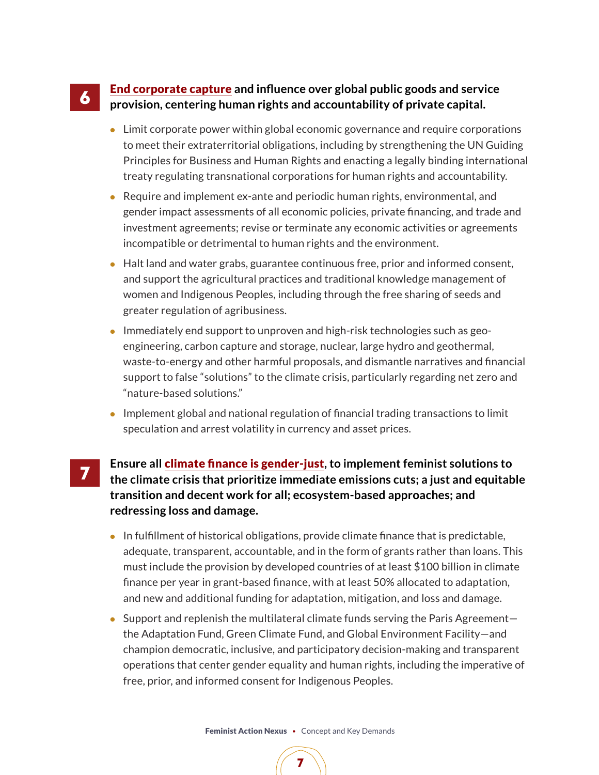#### End corporate capture **and influence over global public goods and service provision, centering human rights and accountability of private capital.**  6

- Limit corporate power within global economic governance and require corporations to meet their extraterritorial obligations, including by strengthening the UN Guiding Principles for Business and Human Rights and enacting a legally binding international treaty regulating transnational corporations for human rights and accountability.
- Require and implement ex-ante and periodic human rights, environmental, and gender impact assessments of all economic policies, private financing, and trade and investment agreements; revise or terminate any economic activities or agreements incompatible or detrimental to human rights and the environment.
- Halt land and water grabs, guarantee continuous free, prior and informed consent, and support the agricultural practices and traditional knowledge management of women and Indigenous Peoples, including through the free sharing of seeds and greater regulation of agribusiness.
- Immediately end support to unproven and high-risk technologies such as geoengineering, carbon capture and storage, nuclear, large hydro and geothermal, waste-to-energy and other harmful proposals, and dismantle narratives and financial support to false "solutions" to the climate crisis, particularly regarding net zero and "nature-based solutions."
- Implement global and national regulation of financial trading transactions to limit speculation and arrest volatility in currency and asset prices.
- **Ensure all** climate finance is gender-just**, to implement feminist solutions to the climate crisis that prioritize immediate emissions cuts; a just and equitable transition and decent work for all; ecosystem-based approaches; and redressing loss and damage.**

7

- In fulfillment of historical obligations, provide climate finance that is predictable, adequate, transparent, accountable, and in the form of grants rather than loans. This must include the provision by developed countries of at least \$100 billion in climate finance per year in grant-based finance, with at least 50% allocated to adaptation, and new and additional funding for adaptation, mitigation, and loss and damage.
- Support and replenish the multilateral climate funds serving the Paris Agreement the Adaptation Fund, Green Climate Fund, and Global Environment Facility—and champion democratic, inclusive, and participatory decision-making and transparent operations that center gender equality and human rights, including the imperative of free, prior, and informed consent for Indigenous Peoples.

Feminist Action Nexus•Concept and Key Demands